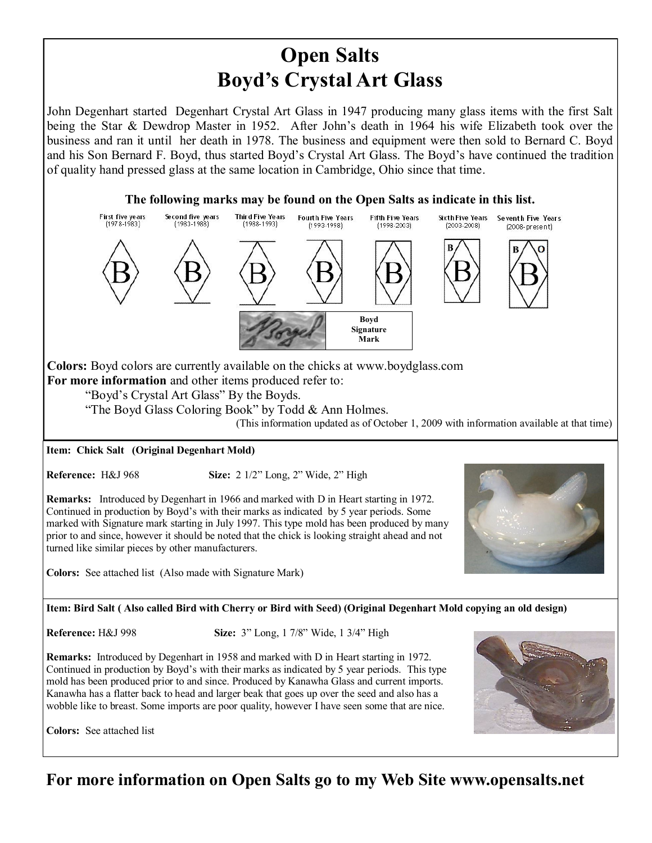# **Open Salts Boyd's Crystal Art Glass**

John Degenhart started Degenhart Crystal Art Glass in 1947 producing many glass items with the first Salt being the Star & Dewdrop Master in 1952. After John's death in 1964 his wife Elizabeth took over the business and ran it until her death in 1978. The business and equipment were then sold to Bernard C. Boyd and his Son Bernard F. Boyd, thus started Boyd's Crystal Art Glass. The Boyd's have continued the tradition of quality hand pressed glass at the same location in Cambridge, Ohio since that time.



## **For more information on Open Salts go to my Web Site www.opensalts.net**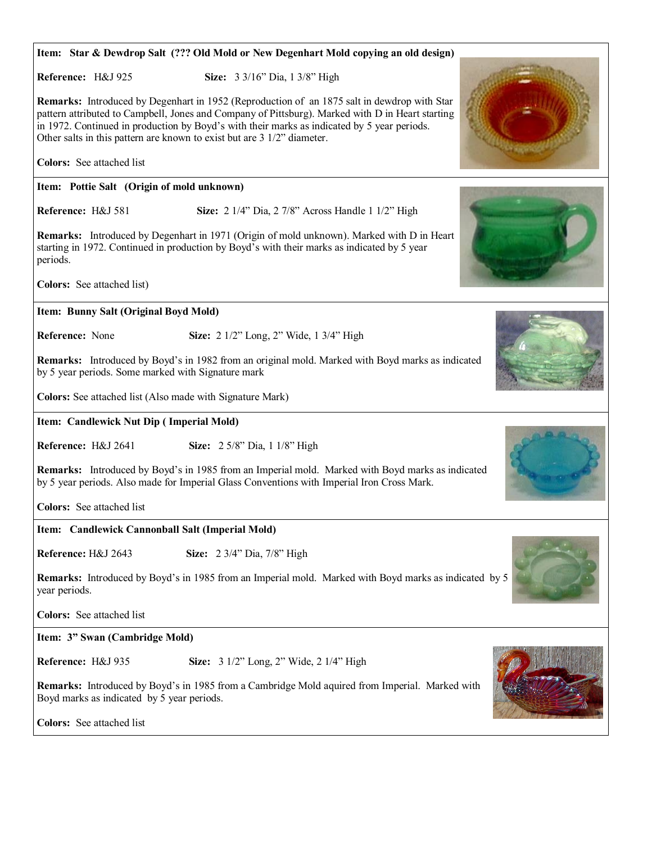| Item: Star & Dewdrop Salt (??? Old Mold or New Degenhart Mold copying an old design)                                                                                                                                                                                                |
|-------------------------------------------------------------------------------------------------------------------------------------------------------------------------------------------------------------------------------------------------------------------------------------|
| Reference: H&J 925<br>Size: 3 3/16" Dia, 1 3/8" High<br><b>Remarks:</b> Introduced by Degenhart in 1952 (Reproduction of an 1875 salt in dewdrop with Star                                                                                                                          |
| pattern attributed to Campbell, Jones and Company of Pittsburg). Marked with D in Heart starting<br>in 1972. Continued in production by Boyd's with their marks as indicated by 5 year periods.<br>Other salts in this pattern are known to exist but are $3 \frac{1}{2}$ diameter. |
| <b>Colors:</b> See attached list                                                                                                                                                                                                                                                    |
| Item: Pottie Salt (Origin of mold unknown)                                                                                                                                                                                                                                          |
| Reference: H&J 581<br>Size: 2 1/4" Dia, 2 7/8" Across Handle 1 1/2" High                                                                                                                                                                                                            |
| Remarks: Introduced by Degenhart in 1971 (Origin of mold unknown). Marked with D in Heart<br>starting in 1972. Continued in production by Boyd's with their marks as indicated by 5 year<br>periods.                                                                                |
| Colors: See attached list)                                                                                                                                                                                                                                                          |
| Item: Bunny Salt (Original Boyd Mold)                                                                                                                                                                                                                                               |
| Reference: None<br>Size: 2 1/2" Long, 2" Wide, 1 3/4" High                                                                                                                                                                                                                          |
| Remarks: Introduced by Boyd's in 1982 from an original mold. Marked with Boyd marks as indicated<br>by 5 year periods. Some marked with Signature mark                                                                                                                              |
| Colors: See attached list (Also made with Signature Mark)                                                                                                                                                                                                                           |
| Item: Candlewick Nut Dip (Imperial Mold)                                                                                                                                                                                                                                            |
| Reference: H&J 2641<br>Size: 2 5/8" Dia, 1 1/8" High                                                                                                                                                                                                                                |
| Remarks: Introduced by Boyd's in 1985 from an Imperial mold. Marked with Boyd marks as indicated<br>by 5 year periods. Also made for Imperial Glass Conventions with Imperial Iron Cross Mark.                                                                                      |
| <b>Colors:</b> See attached list                                                                                                                                                                                                                                                    |
| Item: Candlewick Cannonball Salt (Imperial Mold)                                                                                                                                                                                                                                    |
| Reference: H&J 2643<br>Size: 2 3/4" Dia, 7/8" High                                                                                                                                                                                                                                  |
| <b>Remarks:</b> Introduced by Boyd's in 1985 from an Imperial mold. Marked with Boyd marks as indicated by 5<br>year periods.                                                                                                                                                       |
| Colors: See attached list                                                                                                                                                                                                                                                           |
| Item: 3" Swan (Cambridge Mold)                                                                                                                                                                                                                                                      |
| Reference: H&J 935<br>Size: 3 1/2" Long, 2" Wide, 2 1/4" High                                                                                                                                                                                                                       |
| <b>Remarks:</b> Introduced by Boyd's in 1985 from a Cambridge Mold aquired from Imperial. Marked with<br>Boyd marks as indicated by 5 year periods.                                                                                                                                 |
| Colors: See attached list                                                                                                                                                                                                                                                           |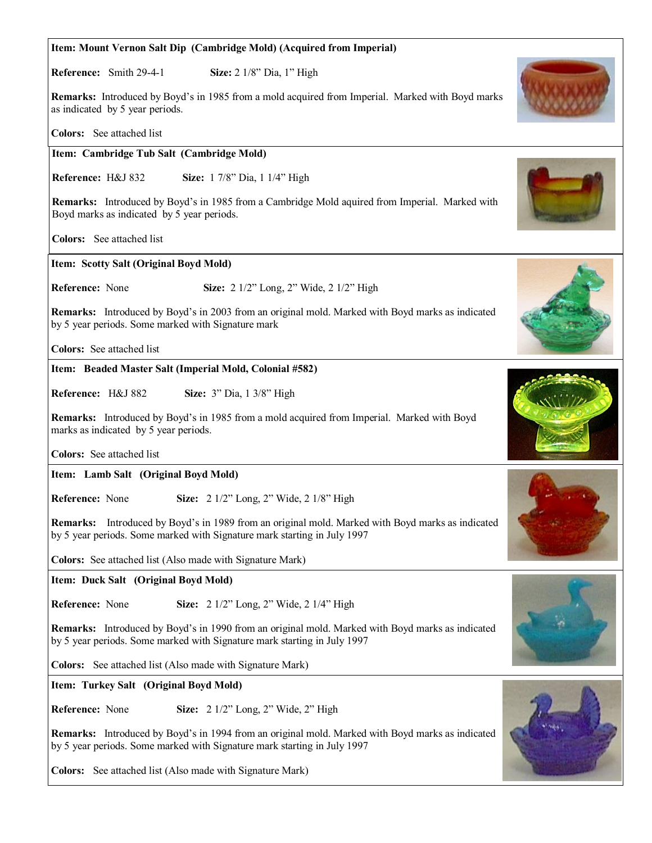## **Item: Cambridge Tub Salt (Cambridge Mold) Reference:** H&J 832 **Size:** 1 7/8" Dia, 1 1/4" High **Remarks:** Introduced by Boyd's in 1985 from a Cambridge Mold aquired from Imperial. Marked with Boyd marks as indicated by 5 year periods. **Colors:** See attached list **Item: Scotty Salt (Original Boyd Mold) Reference:** None **Size:** 2 1/2" Long, 2" Wide, 2 1/2" High **Remarks:** Introduced by Boyd's in 2003 from an original mold. Marked with Boyd marks as indicated by 5 year periods. Some marked with Signature mark **Colors:** See attached list **Item: Mount Vernon Salt Dip (Cambridge Mold) (Acquired from Imperial) Reference:** Smith 29-4-1 **Size:** 2 1/8" Dia, 1" High **Remarks:** Introduced by Boyd's in 1985 from a mold acquired from Imperial. Marked with Boyd marks as indicated by 5 year periods. **Colors:** See attached list **Item: Beaded Master Salt (Imperial Mold, Colonial #582) Reference:** H&J 882 **Size:** 3" Dia, 1 3/8" High **Remarks:** Introduced by Boyd's in 1985 from a mold acquired from Imperial. Marked with Boyd marks as indicated by 5 year periods. **Colors:** See attached list **Item: Lamb Salt (Original Boyd Mold) Reference:** None **Size:** 2 1/2" Long, 2" Wide, 2 1/8" High **Remarks:** Introduced by Boyd's in 1989 from an original mold. Marked with Boyd marks as indicated by 5 year periods. Some marked with Signature mark starting in July 1997 **Colors:** See attached list (Also made with Signature Mark) **Item: Duck Salt (Original Boyd Mold) Reference:** None **Size:** 2 1/2" Long, 2" Wide, 2 1/4" High **Remarks:** Introduced by Boyd's in 1990 from an original mold. Marked with Boyd marks as indicated by 5 year periods. Some marked with Signature mark starting in July 1997 **Colors:** See attached list (Also made with Signature Mark) **Item: Turkey Salt (Original Boyd Mold) Reference:** None **Size:** 2 1/2" Long, 2" Wide, 2" High **Remarks:** Introduced by Boyd's in 1994 from an original mold. Marked with Boyd marks as indicated by 5 year periods. Some marked with Signature mark starting in July 1997

**Colors:** See attached list (Also made with Signature Mark)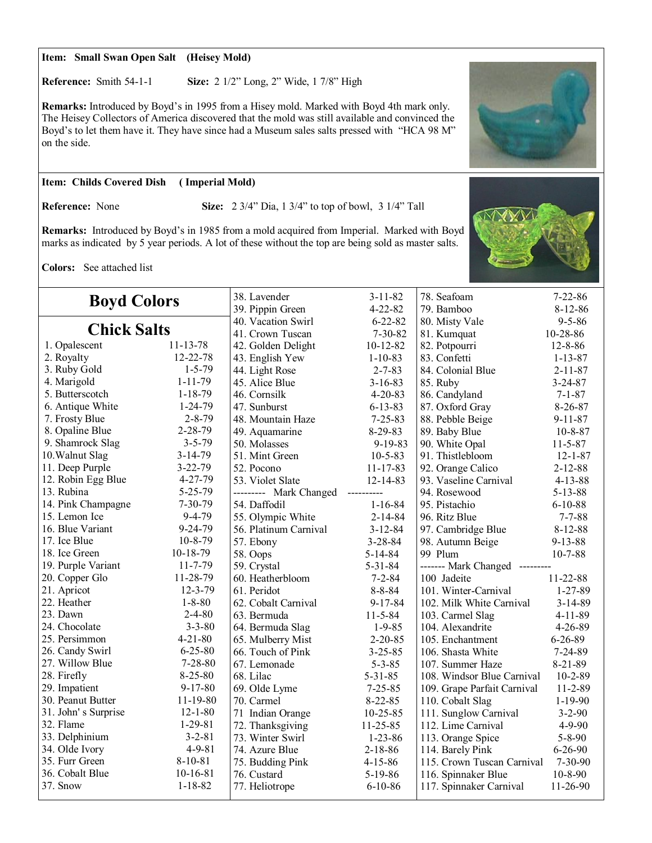#### **Item: Small Swan Open Salt (Heisey Mold)**

**Reference:** Smith 54-1-1 **Size:** 2 1/2" Long, 2" Wide, 1 7/8" High

**Remarks:** Introduced by Boyd's in 1995 from a Hisey mold. Marked with Boyd 4th mark only. The Heisey Collectors of America discovered that the mold was still available and convinced the Boyd's to let them have it. They have since had a Museum sales salts pressed with "HCA 98 M" on the side.

#### **Item: Childs Covered Dish ( Imperial Mold)**

**Reference:** None **Size:** 2 3/4" Dia, 1 3/4" to top of bowl, 3 1/4" Tall

**Remarks:** Introduced by Boyd's in 1985 from a mold acquired from Imperial. Marked with Boyd marks as indicated by 5 year periods. A lot of these without the top are being sold as master salts.

**Colors:** See attached list

| <b>Boyd Colors</b>  |                | 38. Lavender<br>39. Pippin Green | $3 - 11 - 82$<br>$4 - 22 - 82$ | 78. Seafoam<br>79. Bamboo      | $7 - 22 - 86$<br>$8 - 12 - 86$ |
|---------------------|----------------|----------------------------------|--------------------------------|--------------------------------|--------------------------------|
| <b>Chick Salts</b>  |                | 40. Vacation Swirl               | $6 - 22 - 82$                  | 80. Misty Vale                 | $9 - 5 - 86$                   |
|                     |                | 41. Crown Tuscan                 | $7 - 30 - 82$                  | 81. Kumquat                    | 10-28-86                       |
| 1. Opalescent       | $11 - 13 - 78$ | 42. Golden Delight               | $10-12-82$                     | 82. Potpourri                  | $12 - 8 - 86$                  |
| 2. Royalty          | 12-22-78       | 43. English Yew                  | $1-10-83$                      | 83. Confetti                   | $1 - 13 - 87$                  |
| 3. Ruby Gold        | $1 - 5 - 79$   | 44. Light Rose                   | $2 - 7 - 83$                   | 84. Colonial Blue              | $2 - 11 - 87$                  |
| 4. Marigold         | $1 - 11 - 79$  | 45. Alice Blue                   | $3 - 16 - 83$                  | 85. Ruby                       | $3 - 24 - 87$                  |
| 5. Butterscotch     | $1 - 18 - 79$  | 46. Cornsilk                     | $4 - 20 - 83$                  | 86. Candyland                  | $7 - 1 - 87$                   |
| 6. Antique White    | $1 - 24 - 79$  | 47. Sunburst                     | $6 - 13 - 83$                  | 87. Oxford Gray                | $8 - 26 - 87$                  |
| 7. Frosty Blue      | $2 - 8 - 79$   | 48. Mountain Haze                | $7 - 25 - 83$                  | 88. Pebble Beige               | $9 - 11 - 87$                  |
| 8. Opaline Blue     | $2 - 28 - 79$  | 49. Aquamarine                   | $8-29-83$                      | 89. Baby Blue                  | $10 - 8 - 87$                  |
| 9. Shamrock Slag    | $3 - 5 - 79$   | 50. Molasses                     | 9-19-83                        | 90. White Opal                 | $11 - 5 - 87$                  |
| 10. Walnut Slag     | $3-14-79$      | 51. Mint Green                   | $10-5-83$                      | 91. Thistlebloom               | $12 - 1 - 87$                  |
| 11. Deep Purple     | $3 - 22 - 79$  | 52. Pocono                       | $11 - 17 - 83$                 | 92. Orange Calico              | $2 - 12 - 88$                  |
| 12. Robin Egg Blue  | $4 - 27 - 79$  | 53. Violet Slate                 | $12 - 14 - 83$                 | 93. Vaseline Carnival          | $4 - 13 - 88$                  |
| 13. Rubina          | $5 - 25 - 79$  | --------- Mark Changed           | ----------                     | 94. Rosewood                   | $5 - 13 - 88$                  |
| 14. Pink Champagne  | $7 - 30 - 79$  | 54. Daffodil                     | $1 - 16 - 84$                  | 95. Pistachio                  | $6 - 10 - 88$                  |
| 15. Lemon Ice       | $9 - 4 - 79$   | 55. Olympic White                | $2 - 14 - 84$                  | 96. Ritz Blue                  | $7 - 7 - 88$                   |
| 16. Blue Variant    | 9-24-79        | 56. Platinum Carnival            | $3 - 12 - 84$                  | 97. Cambridge Blue             | $8 - 12 - 88$                  |
| 17. Ice Blue        | $10 - 8 - 79$  | 57. Ebony                        | $3 - 28 - 84$                  | 98. Autumn Beige               | $9 - 13 - 88$                  |
| 18. Ice Green       | $10-18-79$     | 58. Oops                         | $5 - 14 - 84$                  | 99 Plum                        | $10 - 7 - 88$                  |
| 19. Purple Variant  | $11 - 7 - 79$  | 59. Crystal                      | $5 - 31 - 84$                  | ------- Mark Changed --------- |                                |
| 20. Copper Glo      | 11-28-79       | 60. Heatherbloom                 | $7 - 2 - 84$                   | 100 Jadeite                    | 11-22-88                       |
| 21. Apricot         | $12 - 3 - 79$  | 61. Peridot                      | $8 - 8 - 84$                   | 101. Winter-Carnival           | $1 - 27 - 89$                  |
| 22. Heather         | $1 - 8 - 80$   | 62. Cobalt Carnival              | $9 - 17 - 84$                  | 102. Milk White Carnival       | $3 - 14 - 89$                  |
| 23. Dawn            | $2 - 4 - 80$   | 63. Bermuda                      | $11 - 5 - 84$                  | 103. Carmel Slag               | $4 - 11 - 89$                  |
| 24. Chocolate       | $3 - 3 - 80$   | 64. Bermuda Slag                 | $1 - 9 - 85$                   | 104. Alexandrite               | 4-26-89                        |
| 25. Persimmon       | $4 - 21 - 80$  | 65. Mulberry Mist                | $2 - 20 - 85$                  | 105. Enchantment               | $6 - 26 - 89$                  |
| 26. Candy Swirl     | $6 - 25 - 80$  | 66. Touch of Pink                | $3 - 25 - 85$                  | 106. Shasta White              | $7 - 24 - 89$                  |
| 27. Willow Blue     | $7 - 28 - 80$  | 67. Lemonade                     | $5 - 3 - 85$                   | 107. Summer Haze               | $8-21-89$                      |
| 28. Firefly         | $8 - 25 - 80$  | 68. Lilac                        | $5 - 31 - 85$                  | 108. Windsor Blue Carnival     | $10 - 2 - 89$                  |
| 29. Impatient       | $9 - 17 - 80$  | 69. Olde Lyme                    | $7 - 25 - 85$                  | 109. Grape Parfait Carnival    | 11-2-89                        |
| 30. Peanut Butter   | 11-19-80       | 70. Carmel                       | $8 - 22 - 85$                  | 110. Cobalt Slag               | $1-19-90$                      |
| 31. John's Surprise | $12 - 1 - 80$  | 71 Indian Orange                 | $10 - 25 - 85$                 | 111. Sunglow Carnival          | $3 - 2 - 90$                   |
| 32. Flame           | $1 - 29 - 81$  | 72. Thanksgiving                 | 11-25-85                       | 112. Lime Carnival             | $4 - 9 - 90$                   |
| 33. Delphinium      | $3 - 2 - 81$   | 73. Winter Swirl                 | $1 - 23 - 86$                  | 113. Orange Spice              | $5 - 8 - 90$                   |
| 34. Olde Ivory      | $4 - 9 - 81$   | 74. Azure Blue                   | $2 - 18 - 86$                  | 114. Barely Pink               | $6 - 26 - 90$                  |
| 35. Furr Green      | $8 - 10 - 81$  | 75. Budding Pink                 | $4 - 15 - 86$                  | 115. Crown Tuscan Carnival     | $7 - 30 - 90$                  |
| 36. Cobalt Blue     | $10-16-81$     | 76. Custard                      | $5-19-86$                      | 116. Spinnaker Blue            | $10 - 8 - 90$                  |
| 37. Snow            | $1 - 18 - 82$  | 77. Heliotrope                   | $6 - 10 - 86$                  | 117. Spinnaker Carnival        | 11-26-90                       |



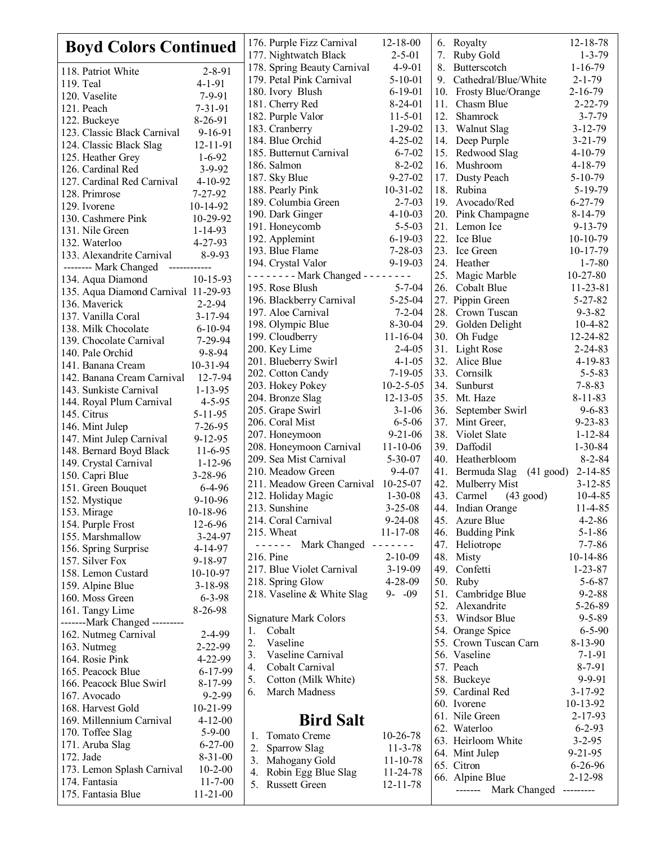| <b>Boyd Colors Continued</b>              |                                |                | 176. Purple Fizz Carnival                                                                                                                                                                                                                                                                                                                                                                                    | $12 - 18 - 00$                                                                                                                                                                                                                                                                                                                                                                                                                                                             |     | 6. Royalty                         | $12 - 18 - 78$               |
|-------------------------------------------|--------------------------------|----------------|--------------------------------------------------------------------------------------------------------------------------------------------------------------------------------------------------------------------------------------------------------------------------------------------------------------------------------------------------------------------------------------------------------------|----------------------------------------------------------------------------------------------------------------------------------------------------------------------------------------------------------------------------------------------------------------------------------------------------------------------------------------------------------------------------------------------------------------------------------------------------------------------------|-----|------------------------------------|------------------------------|
|                                           |                                |                | 177. Nightwatch Black                                                                                                                                                                                                                                                                                                                                                                                        | $2 - 5 - 01$                                                                                                                                                                                                                                                                                                                                                                                                                                                               | 7.  | Ruby Gold                          | $1 - 3 - 79$                 |
| 118. Patriot White                        | $2 - 8 - 91$                   |                | 178. Spring Beauty Carnival                                                                                                                                                                                                                                                                                                                                                                                  | $4 - 9 - 01$                                                                                                                                                                                                                                                                                                                                                                                                                                                               |     | Butterscotch                       | $1 - 16 - 79$                |
| 119. Teal                                 | $4 - 1 - 91$                   |                | 179. Petal Pink Carnival                                                                                                                                                                                                                                                                                                                                                                                     | $5 - 10 - 01$                                                                                                                                                                                                                                                                                                                                                                                                                                                              | 9.  | Cathedral/Blue/White               | $2 - 1 - 79$                 |
| 120. Vaselite                             | $7 - 9 - 91$                   |                | 180. Ivory Blush                                                                                                                                                                                                                                                                                                                                                                                             | $6 - 19 - 01$                                                                                                                                                                                                                                                                                                                                                                                                                                                              |     | 10. Frosty Blue/Orange             | $2-16-79$                    |
| 121. Peach                                | 7-31-91                        |                | 181. Cherry Red                                                                                                                                                                                                                                                                                                                                                                                              | $8-24-01$                                                                                                                                                                                                                                                                                                                                                                                                                                                                  | 11. | Chasm Blue                         | $2 - 22 - 79$                |
| 122. Buckeye                              | 8-26-91                        |                | 182. Purple Valor                                                                                                                                                                                                                                                                                                                                                                                            | $11 - 5 - 01$                                                                                                                                                                                                                                                                                                                                                                                                                                                              | 12. | Shamrock                           | $3 - 7 - 79$                 |
| 123. Classic Black Carnival               | 9-16-91                        |                | 183. Cranberry                                                                                                                                                                                                                                                                                                                                                                                               | $1 - 29 - 02$                                                                                                                                                                                                                                                                                                                                                                                                                                                              | 13. | Walnut Slag                        | $3 - 12 - 79$                |
| 124. Classic Black Slag                   | 12-11-91                       |                | 184. Blue Orchid                                                                                                                                                                                                                                                                                                                                                                                             | $4 - 25 - 02$<br>$6 - 7 - 02$                                                                                                                                                                                                                                                                                                                                                                                                                                              |     | 14. Deep Purple                    | $3 - 21 - 79$                |
| 125. Heather Grey                         | $1 - 6 - 92$                   |                | 185. Butternut Carnival                                                                                                                                                                                                                                                                                                                                                                                      | $8 - 2 - 02$                                                                                                                                                                                                                                                                                                                                                                                                                                                               |     | 15. Redwood Slag<br>16. Mushroom   | $4 - 10 - 79$                |
| 126. Cardinal Red                         | $3 - 9 - 92$                   |                | 186. Salmon<br>187. Sky Blue                                                                                                                                                                                                                                                                                                                                                                                 | $9 - 27 - 02$                                                                                                                                                                                                                                                                                                                                                                                                                                                              |     | Dusty Peach                        | $4-18-79$<br>$5-10-79$       |
| 127. Cardinal Red Carnival                | $4 - 10 - 92$                  |                |                                                                                                                                                                                                                                                                                                                                                                                                              | $10-31-02$                                                                                                                                                                                                                                                                                                                                                                                                                                                                 | 17. | 18. Rubina                         | 5-19-79                      |
| 128. Primrose                             | $7 - 27 - 92$                  |                | 188. Pearly Pink<br>189. Columbia Green                                                                                                                                                                                                                                                                                                                                                                      | $2 - 7 - 03$                                                                                                                                                                                                                                                                                                                                                                                                                                                               |     | 19. Avocado/Red                    | $6 - 27 - 79$                |
| 129. Ivorene                              | 10-14-92                       |                | 190. Dark Ginger                                                                                                                                                                                                                                                                                                                                                                                             | $4 - 10 - 03$                                                                                                                                                                                                                                                                                                                                                                                                                                                              |     | 20. Pink Champagne                 | $8 - 14 - 79$                |
| 130. Cashmere Pink                        | 10-29-92                       |                | 191. Honeycomb                                                                                                                                                                                                                                                                                                                                                                                               | $5 - 5 - 03$                                                                                                                                                                                                                                                                                                                                                                                                                                                               |     | 21. Lemon Ice                      | $9 - 13 - 79$                |
| 131. Nile Green                           | $1 - 14 - 93$                  |                | 192. Applemint                                                                                                                                                                                                                                                                                                                                                                                               | $6 - 19 - 03$                                                                                                                                                                                                                                                                                                                                                                                                                                                              |     | 22. Ice Blue                       | $10-10-79$                   |
| 132. Waterloo                             | $4 - 27 - 93$                  |                | 193. Blue Flame                                                                                                                                                                                                                                                                                                                                                                                              | $7 - 28 - 03$                                                                                                                                                                                                                                                                                                                                                                                                                                                              |     | 23. Ice Green                      | 10-17-79                     |
| 133. Alexandrite Carnival                 | $8 - 9 - 93$                   |                | 194. Crystal Valor                                                                                                                                                                                                                                                                                                                                                                                           | $9 - 19 - 03$                                                                                                                                                                                                                                                                                                                                                                                                                                                              |     | 24. Heather                        | $1 - 7 - 80$                 |
| -------- Mark Changed                     | ------------                   |                | - - - - - - - - Mark Changed - - - - - - - -                                                                                                                                                                                                                                                                                                                                                                 |                                                                                                                                                                                                                                                                                                                                                                                                                                                                            |     | 25. Magic Marble                   | $10-27-80$                   |
| 134. Aqua Diamond                         | $10-15-93$                     |                | 195. Rose Blush                                                                                                                                                                                                                                                                                                                                                                                              | $5 - 7 - 04$                                                                                                                                                                                                                                                                                                                                                                                                                                                               |     | 26. Cobalt Blue                    | $11 - 23 - 81$               |
| 135. Aqua Diamond Carnival 11-29-93       |                                |                | 196. Blackberry Carnival                                                                                                                                                                                                                                                                                                                                                                                     | $5 - 25 - 04$                                                                                                                                                                                                                                                                                                                                                                                                                                                              |     | 27. Pippin Green                   | $5 - 27 - 82$                |
| 136. Maverick                             | $2 - 2 - 94$                   |                | 197. Aloe Carnival                                                                                                                                                                                                                                                                                                                                                                                           | $7 - 2 - 04$                                                                                                                                                                                                                                                                                                                                                                                                                                                               |     | 28. Crown Tuscan                   | $9 - 3 - 82$                 |
| 137. Vanilla Coral<br>138. Milk Chocolate | $3 - 17 - 94$<br>$6 - 10 - 94$ |                | 198. Olympic Blue                                                                                                                                                                                                                                                                                                                                                                                            | 8-30-04                                                                                                                                                                                                                                                                                                                                                                                                                                                                    |     | 29. Golden Delight                 | $10-4-82$                    |
| 139. Chocolate Carnival                   | 7-29-94                        |                | 199. Cloudberry                                                                                                                                                                                                                                                                                                                                                                                              | $11 - 16 - 04$                                                                                                                                                                                                                                                                                                                                                                                                                                                             |     | 30. Oh Fudge                       | 12-24-82                     |
| 140. Pale Orchid                          | $9 - 8 - 94$                   |                | 200. Key Lime                                                                                                                                                                                                                                                                                                                                                                                                | $2 - 4 - 05$                                                                                                                                                                                                                                                                                                                                                                                                                                                               |     | 31. Light Rose                     | $2 - 24 - 83$                |
| 141. Banana Cream                         | $10 - 31 - 94$                 |                | 201. Blueberry Swirl                                                                                                                                                                                                                                                                                                                                                                                         | $4 - 1 - 05$                                                                                                                                                                                                                                                                                                                                                                                                                                                               |     | 32. Alice Blue                     | $4 - 19 - 83$                |
| 142. Banana Cream Carnival                | 12-7-94                        |                | 202. Cotton Candy                                                                                                                                                                                                                                                                                                                                                                                            | $7 - 19 - 05$                                                                                                                                                                                                                                                                                                                                                                                                                                                              | 33. | Cornsilk                           | $5 - 5 - 83$                 |
| 143. Sunkiste Carnival                    | $1 - 13 - 95$                  |                | 203. Hokey Pokey                                                                                                                                                                                                                                                                                                                                                                                             | $10-2-5-05$                                                                                                                                                                                                                                                                                                                                                                                                                                                                | 34. | Sunburst                           | $7 - 8 - 83$                 |
| 144. Royal Plum Carnival                  | $4 - 5 - 95$                   |                | 204. Bronze Slag                                                                                                                                                                                                                                                                                                                                                                                             | $12 - 13 - 05$                                                                                                                                                                                                                                                                                                                                                                                                                                                             |     | 35. Mt. Haze                       | $8 - 11 - 83$                |
| 145. Citrus                               | $5 - 11 - 95$                  |                | 205. Grape Swirl                                                                                                                                                                                                                                                                                                                                                                                             | $3 - 1 - 06$                                                                                                                                                                                                                                                                                                                                                                                                                                                               |     | 36. September Swirl                | $9 - 6 - 83$                 |
| 146. Mint Julep                           | $7 - 26 - 95$                  |                | 206. Coral Mist                                                                                                                                                                                                                                                                                                                                                                                              | $6 - 5 - 06$                                                                                                                                                                                                                                                                                                                                                                                                                                                               |     | 37. Mint Greer,                    | $9 - 23 - 83$                |
| 147. Mint Julep Carnival                  | $9 - 12 - 95$                  |                | 207. Honeymoon                                                                                                                                                                                                                                                                                                                                                                                               | $9 - 21 - 06$                                                                                                                                                                                                                                                                                                                                                                                                                                                              | 38. | Violet Slate                       | $1 - 12 - 84$                |
| 148. Bernard Boyd Black                   | $11-6-95$                      |                | 208. Honeymoon Carnival                                                                                                                                                                                                                                                                                                                                                                                      | $11 - 10 - 06$                                                                                                                                                                                                                                                                                                                                                                                                                                                             | 39. | Daffodil                           | $1 - 30 - 84$                |
| 149. Crystal Carnival                     | $1 - 12 - 96$                  |                | 209. Sea Mist Carnival                                                                                                                                                                                                                                                                                                                                                                                       | $5 - 30 - 07$                                                                                                                                                                                                                                                                                                                                                                                                                                                              |     | 40. Heatherbloom                   | $8 - 2 - 84$                 |
| 150. Capri Blue                           | $3 - 28 - 96$                  |                | 210. Meadow Green                                                                                                                                                                                                                                                                                                                                                                                            | $9-4-07$                                                                                                                                                                                                                                                                                                                                                                                                                                                                   |     | 41. Bermuda Slag                   | $(41 \text{ good})$ 2-14-85  |
| 151. Green Bouquet                        | $6-4-96$                       |                | 211. Meadow Green Carnival 10-25-07                                                                                                                                                                                                                                                                                                                                                                          |                                                                                                                                                                                                                                                                                                                                                                                                                                                                            | 42. | Mulberry Mist                      | $3 - 12 - 85$                |
| 152. Mystique                             | $9-10-96$                      |                | 212. Holiday Magic                                                                                                                                                                                                                                                                                                                                                                                           | $1 - 30 - 08$                                                                                                                                                                                                                                                                                                                                                                                                                                                              |     | 43. Carmel<br>$(43 \text{ good})$  | $10-4-85$                    |
| 153. Mirage                               | 10-18-96                       |                | 213. Sunshine<br>214. Coral Carnival                                                                                                                                                                                                                                                                                                                                                                         | $3 - 25 - 08$<br>$9 - 24 - 08$                                                                                                                                                                                                                                                                                                                                                                                                                                             | 44. | Indian Orange<br>45. Azure Blue    | $11-4-85$<br>$4 - 2 - 86$    |
| 154. Purple Frost                         | $12 - 6 - 96$                  |                | 215. Wheat                                                                                                                                                                                                                                                                                                                                                                                                   | $11 - 17 - 08$                                                                                                                                                                                                                                                                                                                                                                                                                                                             |     | 46. Budding Pink                   | $5 - 1 - 86$                 |
| 155. Marshmallow                          | $3 - 24 - 97$                  |                | Mark Changed<br>$\frac{1}{2} \frac{1}{2} \frac{1}{2} \frac{1}{2} \frac{1}{2} \frac{1}{2} \frac{1}{2} \frac{1}{2} \frac{1}{2} \frac{1}{2} \frac{1}{2} \frac{1}{2} \frac{1}{2} \frac{1}{2} \frac{1}{2} \frac{1}{2} \frac{1}{2} \frac{1}{2} \frac{1}{2} \frac{1}{2} \frac{1}{2} \frac{1}{2} \frac{1}{2} \frac{1}{2} \frac{1}{2} \frac{1}{2} \frac{1}{2} \frac{1}{2} \frac{1}{2} \frac{1}{2} \frac{1}{2} \frac{$ | $\frac{1}{2} \left( \frac{1}{2} \right) \left( \frac{1}{2} \right) \left( \frac{1}{2} \right) \left( \frac{1}{2} \right) \left( \frac{1}{2} \right) \left( \frac{1}{2} \right) \left( \frac{1}{2} \right) \left( \frac{1}{2} \right) \left( \frac{1}{2} \right) \left( \frac{1}{2} \right) \left( \frac{1}{2} \right) \left( \frac{1}{2} \right) \left( \frac{1}{2} \right) \left( \frac{1}{2} \right) \left( \frac{1}{2} \right) \left( \frac{1}{2} \right) \left( \frac$ |     | 47. Heliotrope                     | $7 - 7 - 86$                 |
| 156. Spring Surprise                      | 4-14-97                        |                | 216. Pine                                                                                                                                                                                                                                                                                                                                                                                                    | $2 - 10 - 09$                                                                                                                                                                                                                                                                                                                                                                                                                                                              |     | 48. Misty                          | $10-14-86$                   |
| 157. Silver Fox                           | $9 - 18 - 97$                  |                | 217. Blue Violet Carnival                                                                                                                                                                                                                                                                                                                                                                                    | $3-19-09$                                                                                                                                                                                                                                                                                                                                                                                                                                                                  |     | 49. Confetti                       | $1 - 23 - 87$                |
| 158. Lemon Custard                        | 10-10-97                       |                | 218. Spring Glow                                                                                                                                                                                                                                                                                                                                                                                             | $4 - 28 - 09$                                                                                                                                                                                                                                                                                                                                                                                                                                                              |     | 50. Ruby                           | $5 - 6 - 87$                 |
| 159. Alpine Blue                          | $3 - 18 - 98$                  |                | 218. Vaseline & White Slag                                                                                                                                                                                                                                                                                                                                                                                   | $9 - -09$                                                                                                                                                                                                                                                                                                                                                                                                                                                                  |     | 51. Cambridge Blue                 | $9 - 2 - 88$                 |
| 160. Moss Green<br>161. Tangy Lime        | $6 - 3 - 98$<br>8-26-98        |                |                                                                                                                                                                                                                                                                                                                                                                                                              |                                                                                                                                                                                                                                                                                                                                                                                                                                                                            |     | 52. Alexandrite                    | 5-26-89                      |
| -------Mark Changed ---------             |                                |                | <b>Signature Mark Colors</b>                                                                                                                                                                                                                                                                                                                                                                                 |                                                                                                                                                                                                                                                                                                                                                                                                                                                                            |     | 53. Windsor Blue                   | $9 - 5 - 89$                 |
| 162. Nutmeg Carnival                      | $2 - 4 - 99$                   | 1.             | Cobalt                                                                                                                                                                                                                                                                                                                                                                                                       |                                                                                                                                                                                                                                                                                                                                                                                                                                                                            |     | 54. Orange Spice                   | $6 - 5 - 90$                 |
| 163. Nutmeg                               | 2-22-99                        | 2.             | Vaseline                                                                                                                                                                                                                                                                                                                                                                                                     |                                                                                                                                                                                                                                                                                                                                                                                                                                                                            |     | 55. Crown Tuscan Carn              | 8-13-90                      |
| 164. Rosie Pink                           | 4-22-99                        | 3.             | Vaseline Carnival                                                                                                                                                                                                                                                                                                                                                                                            |                                                                                                                                                                                                                                                                                                                                                                                                                                                                            |     | 56. Vaseline                       | $7 - 1 - 91$                 |
| 165. Peacock Blue                         | $6 - 17 - 99$                  | 4.             | Cobalt Carnival                                                                                                                                                                                                                                                                                                                                                                                              |                                                                                                                                                                                                                                                                                                                                                                                                                                                                            |     | 57. Peach                          | $8 - 7 - 91$                 |
| 166. Peacock Blue Swirl                   | 8-17-99                        | 5.             | Cotton (Milk White)                                                                                                                                                                                                                                                                                                                                                                                          |                                                                                                                                                                                                                                                                                                                                                                                                                                                                            |     | 58. Buckeye                        | $9 - 9 - 91$                 |
| 167. Avocado                              | $9 - 2 - 99$                   | 6.             | March Madness                                                                                                                                                                                                                                                                                                                                                                                                |                                                                                                                                                                                                                                                                                                                                                                                                                                                                            |     | 59. Cardinal Red                   | $3 - 17 - 92$                |
| 168. Harvest Gold                         | 10-21-99                       |                |                                                                                                                                                                                                                                                                                                                                                                                                              |                                                                                                                                                                                                                                                                                                                                                                                                                                                                            |     | 60. Ivorene                        | $10-13-92$                   |
| 169. Millennium Carnival                  | $4 - 12 - 00$                  |                | <b>Bird Salt</b>                                                                                                                                                                                                                                                                                                                                                                                             |                                                                                                                                                                                                                                                                                                                                                                                                                                                                            |     | 61. Nile Green                     | $2 - 17 - 93$                |
| 170. Toffee Slag                          | $5 - 9 - 00$                   | 1.             | Tomato Creme                                                                                                                                                                                                                                                                                                                                                                                                 | $10-26-78$                                                                                                                                                                                                                                                                                                                                                                                                                                                                 |     | 62. Waterloo<br>63. Heirloom White | $6 - 2 - 93$<br>$3 - 2 - 95$ |
| 171. Aruba Slag                           | $6 - 27 - 00$                  | 2.             | Sparrow Slag                                                                                                                                                                                                                                                                                                                                                                                                 | $11 - 3 - 78$                                                                                                                                                                                                                                                                                                                                                                                                                                                              |     | 64. Mint Julep                     | $9 - 21 - 95$                |
| 172. Jade                                 | $8 - 31 - 00$                  |                | 3. Mahogany Gold                                                                                                                                                                                                                                                                                                                                                                                             | $11 - 10 - 78$                                                                                                                                                                                                                                                                                                                                                                                                                                                             |     | 65. Citron                         | $6 - 26 - 96$                |
| 173. Lemon Splash Carnival                | $10 - 2 - 00$                  |                | 4. Robin Egg Blue Slag                                                                                                                                                                                                                                                                                                                                                                                       | 11-24-78                                                                                                                                                                                                                                                                                                                                                                                                                                                                   |     | 66. Alpine Blue                    | $2 - 12 - 98$                |
| 174. Fantasia                             | $11 - 7 - 00$                  | 5 <sub>1</sub> | <b>Russett Green</b>                                                                                                                                                                                                                                                                                                                                                                                         | $12 - 11 - 78$                                                                                                                                                                                                                                                                                                                                                                                                                                                             |     | Mark Changed<br>-------            | ---------                    |
| 175. Fantasia Blue                        | $11 - 21 - 00$                 |                |                                                                                                                                                                                                                                                                                                                                                                                                              |                                                                                                                                                                                                                                                                                                                                                                                                                                                                            |     |                                    |                              |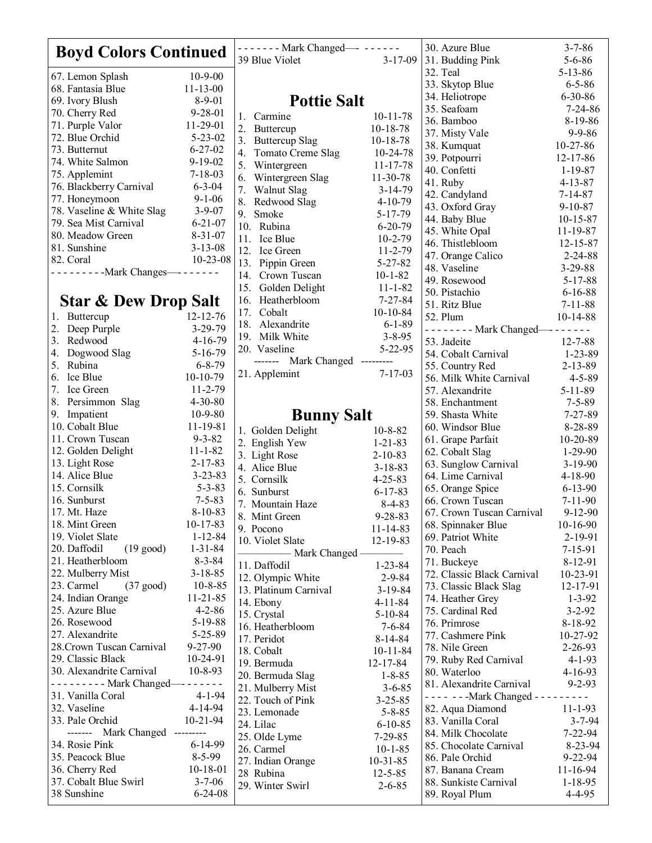| <b>Boyd Colors Continued</b>                |                                | ------- Mark Changed--------           |                                | 30. Azure Blue                                 | $3 - 7 - 86$                  |
|---------------------------------------------|--------------------------------|----------------------------------------|--------------------------------|------------------------------------------------|-------------------------------|
|                                             |                                | 39 Blue Violet                         | $3 - 17 - 09$                  | 31. Budding Pink                               | $5 - 6 - 86$                  |
| 67. Lemon Splash                            | $10 - 9 - 00$                  |                                        |                                | 32. Teal                                       | $5 - 13 - 86$                 |
| 68. Fantasia Blue                           | $11 - 13 - 00$                 |                                        |                                | 33. Skytop Blue                                | $6 - 5 - 86$                  |
| 69. Ivory Blush                             | $8 - 9 - 01$                   | <b>Pottie Salt</b>                     |                                | 34. Heliotrope                                 | $6 - 30 - 86$                 |
| 70. Cherry Red                              | $9 - 28 - 01$                  | 1.<br>Carmine                          | $10 - 11 - 78$                 | 35. Seafoam                                    | $7 - 24 - 86$                 |
| 71. Purple Valor                            | 11-29-01                       | 2. Buttercup                           | $10-18-78$                     | 36. Bamboo                                     | 8-19-86<br>$9 - 9 - 86$       |
| 72. Blue Orchid                             | $5 - 23 - 02$                  | 3. Buttercup Slag                      | $10-18-78$                     | 37. Misty Vale                                 | $10-27-86$                    |
| 73. Butternut                               | $6 - 27 - 02$                  | Tomato Creme Slag<br>4.                | $10 - 24 - 78$                 | 38. Kumquat<br>39. Potpourri                   | $12 - 17 - 86$                |
| 74. White Salmon                            | $9 - 19 - 02$                  | Wintergreen<br>5.                      | 11-17-78                       | 40. Confetti                                   | $1 - 19 - 87$                 |
| 75. Applemint                               | $7 - 18 - 03$                  | Wintergreen Slag<br>6.                 | 11-30-78                       | 41. Ruby                                       | $4 - 13 - 87$                 |
| 76. Blackberry Carnival                     | $6 - 3 - 04$                   | 7. Walnut Slag                         | $3-14-79$                      | 42. Candyland                                  | $7 - 14 - 87$                 |
| 77. Honeymoon                               | $9 - 1 - 06$                   | 8. Redwood Slag                        | $4 - 10 - 79$                  | 43. Oxford Gray                                | $9 - 10 - 87$                 |
| 78. Vaseline & White Slag                   | $3 - 9 - 07$                   | 9. Smoke                               | $5-17-79$                      | 44. Baby Blue                                  | $10 - 15 - 87$                |
| 79. Sea Mist Carnival<br>80. Meadow Green   | $6 - 21 - 07$<br>$8 - 31 - 07$ | 10. Rubina                             | $6 - 20 - 79$                  | 45. White Opal                                 | 11-19-87                      |
| 81. Sunshine                                | $3 - 13 - 08$                  | 11. Ice Blue                           | $10 - 2 - 79$                  | 46. Thistlebloom                               | $12 - 15 - 87$                |
| 82. Coral                                   | $10 - 23 - 08$                 | 12. Ice Green                          | $11 - 2 - 79$                  | 47. Orange Calico                              | $2 - 24 - 88$                 |
| ----------- Mark Changes---------           |                                | 13. Pippin Green                       | $5 - 27 - 82$                  | 48. Vaseline                                   | $3 - 29 - 88$                 |
|                                             |                                | 14. Crown Tuscan                       | $10 - 1 - 82$                  | 49. Rosewood                                   | $5 - 17 - 88$                 |
|                                             |                                | Golden Delight<br>15.<br>Heatherbloom  | $11 - 1 - 82$<br>$7 - 27 - 84$ | 50. Pistachio                                  | $6 - 16 - 88$                 |
| <b>Star &amp; Dew Drop Salt</b>             |                                | 16.<br>Cobalt<br>17.                   | $10-10-84$                     | 51. Ritz Blue                                  | $7 - 11 - 88$                 |
| 1. Buttercup                                | $12 - 12 - 76$                 | Alexandrite<br>18.                     | $6 - 1 - 89$                   | 52. Plum                                       | $10-14-88$                    |
| 2. Deep Purple                              | $3 - 29 - 79$                  | 19. Milk White                         | $3 - 8 - 95$                   | - - - - - - - - Mark Changed--- - - - - - -    |                               |
| 3. Redwood                                  | $4 - 16 - 79$                  | 20. Vaseline                           | $5 - 22 - 95$                  | 53. Jadeite                                    | $12 - 7 - 88$                 |
| Dogwood Slag<br>4.                          | $5-16-79$                      | Mark Changed<br>-------                | ---------                      | 54. Cobalt Carnival                            | $1 - 23 - 89$                 |
| 5. Rubina                                   | $6 - 8 - 79$                   | 21. Applemint                          | $7 - 17 - 03$                  | 55. Country Red                                | $2 - 13 - 89$                 |
| 6. lce Blue<br>7.<br>Ice Green              | $10-10-79$<br>$11 - 2 - 79$    |                                        |                                | 56. Milk White Carnival<br>57. Alexandrite     | $4 - 5 - 89$                  |
| 8.<br>Persimmon Slag                        | $4 - 30 - 80$                  |                                        |                                | 58. Enchantment                                | $5 - 11 - 89$<br>$7 - 5 - 89$ |
| Impatient<br>9.                             | $10-9-80$                      |                                        |                                | 59. Shasta White                               | $7 - 27 - 89$                 |
| 10. Cobalt Blue                             | 11-19-81                       | <b>Bunny Salt</b>                      |                                | 60. Windsor Blue                               | 8-28-89                       |
| 11. Crown Tuscan                            | $9 - 3 - 82$                   | 1. Golden Delight                      | $10 - 8 - 82$                  | 61. Grape Parfait                              | 10-20-89                      |
| 12. Golden Delight                          | $11 - 1 - 82$                  | 2. English Yew                         | $1 - 21 - 83$                  | 62. Cobalt Slag                                | $1-29-90$                     |
| 13. Light Rose                              | $2 - 17 - 83$                  | 3. Light Rose<br>4. Alice Blue         | $2 - 10 - 83$                  | 63. Sunglow Carnival                           | $3 - 19 - 90$                 |
| 14. Alice Blue                              | $3 - 23 - 83$                  | 5. Cornsilk                            | $3 - 18 - 83$<br>$4 - 25 - 83$ | 64. Lime Carnival                              | $4 - 18 - 90$                 |
| 15. Cornsilk                                | $5 - 3 - 83$                   | 6. Sunburst                            | $6 - 17 - 83$                  | 65. Orange Spice                               | $6 - 13 - 90$                 |
| 16. Sunburst                                | $7 - 5 - 83$                   | 7. Mountain Haze                       | $8-4-83$                       | 66. Crown Tuscan                               | $7 - 11 - 90$                 |
| 17. Mt. Haze                                | $8-10-83$                      | 8. Mint Green                          | $9 - 28 - 83$                  | 67. Crown Tuscan Carnival                      | $9 - 12 - 90$                 |
| 18. Mint Green                              | $10-17-83$                     | 9. Pocono                              | $11 - 14 - 83$                 | 68. Spinnaker Blue                             | $10-16-90$                    |
| 19. Violet Slate                            | $1 - 12 - 84$                  | 10. Violet Slate                       | 12-19-83                       | 69. Patriot White                              | 2-19-91                       |
| 20. Daffodil<br>$(19 \text{ good})$         | $1 - 31 - 84$                  | - Mark Changed -                       |                                | 70. Peach                                      | $7 - 15 - 91$                 |
| 21. Heatherbloom                            | $8 - 3 - 84$                   | 11. Daffodil                           | $1 - 23 - 84$                  | 71. Buckeye                                    | $8 - 12 - 91$                 |
| 22. Mulberry Mist                           | $3 - 18 - 85$                  | 12. Olympic White                      | $2 - 9 - 84$                   | 72. Classic Black Carnival                     | 10-23-91                      |
| $(37 \text{ good})$<br>23. Carmel           | $10 - 8 - 85$                  | 13. Platinum Carnival                  | $3-19-84$                      | 73. Classic Black Slag                         | 12-17-91                      |
| 24. Indian Orange<br>25. Azure Blue         | $11 - 21 - 85$                 | 14. Ebony                              | $4 - 11 - 84$                  | 74. Heather Grey                               | $1 - 3 - 92$                  |
| 26. Rosewood                                | $4 - 2 - 86$<br>5-19-88        | 15. Crystal                            | $5 - 10 - 84$                  | 75. Cardinal Red<br>76. Primrose               | $3 - 2 - 92$                  |
| 27. Alexandrite                             | $5 - 25 - 89$                  | 16. Heatherbloom                       | $7 - 6 - 84$                   | 77. Cashmere Pink                              | 8-18-92<br>10-27-92           |
| 28. Crown Tuscan Carnival                   | $9 - 27 - 90$                  | 17. Peridot                            | 8-14-84                        | 78. Nile Green                                 | $2 - 26 - 93$                 |
| 29. Classic Black                           | 10-24-91                       | 18. Cobalt                             | $10 - 11 - 84$                 | 79. Ruby Red Carnival                          | $4 - 1 - 93$                  |
| 30. Alexandrite Carnival                    | $10 - 8 - 93$                  | 19. Bermuda                            | 12-17-84                       | 80. Waterloo                                   | $4 - 16 - 93$                 |
| - - - - - - - - Mark Changed--- - - - - - - |                                | 20. Bermuda Slag                       | $1 - 8 - 85$                   | 81. Alexandrite Carnival                       | $9 - 2 - 93$                  |
| 31. Vanilla Coral                           | $4 - 1 - 94$                   | 21. Mulberry Mist<br>22. Touch of Pink | $3 - 6 - 85$<br>$3 - 25 - 85$  | $--- - -$ - - - Mark Changed - - - - - - - - - |                               |
| 32. Vaseline                                | $4 - 14 - 94$                  | 23. Lemonade                           | $5 - 8 - 85$                   | 82. Aqua Diamond                               | $11 - 1 - 93$                 |
| 33. Pale Orchid                             | $10 - 21 - 94$                 | 24. Lilac                              | $6 - 10 - 85$                  | 83. Vanilla Coral                              | $3 - 7 - 94$                  |
| ------- Mark Changed ---------              |                                | 25. Olde Lyme                          | $7 - 29 - 85$                  | 84. Milk Chocolate                             | $7 - 22 - 94$                 |
| 34. Rosie Pink                              | $6 - 14 - 99$                  | 26. Carmel                             | $10 - 1 - 85$                  | 85. Chocolate Carnival                         | $8 - 23 - 94$                 |
| 35. Peacock Blue                            | $8-5-99$                       | 27. Indian Orange                      | $10-31-85$                     | 86. Pale Orchid                                | $9 - 22 - 94$                 |
| 36. Cherry Red                              | $10-18-01$                     | 28 Rubina                              | $12 - 5 - 85$                  | 87. Banana Cream                               | 11-16-94                      |
| 37. Cobalt Blue Swirl                       | $3 - 7 - 06$                   | 29. Winter Swirl                       | $2 - 6 - 85$                   | 88. Sunkiste Carnival                          | $1 - 18 - 95$                 |
| 38 Sunshine                                 | $6 - 24 - 08$                  |                                        |                                | 89. Royal Plum                                 | 4-4-95                        |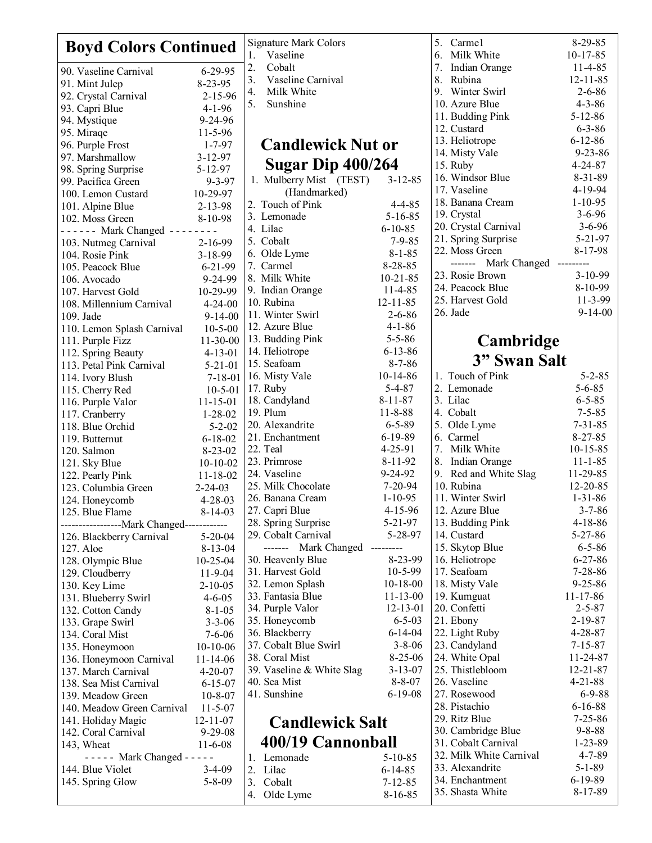| <b>Boyd Colors Continued</b>                 |                                 | Signature Mark Colors                   |                                           | 5. Carmel                         | $8-29-85$                                  |                               |
|----------------------------------------------|---------------------------------|-----------------------------------------|-------------------------------------------|-----------------------------------|--------------------------------------------|-------------------------------|
|                                              |                                 | Vaseline<br>1.                          |                                           | 6. Milk White<br>7. Indian Orange | $10-17-85$<br>$11 - 4 - 85$                |                               |
| 90. Vaseline Carnival                        | $6 - 29 - 95$                   | 2.<br>Cobalt<br>3.<br>Vaseline Carnival |                                           | 8. Rubina                         | $12 - 11 - 85$                             |                               |
| 91. Mint Julep                               | 8-23-95                         | 4.                                      | Milk White                                |                                   | 9. Winter Swirl                            | $2 - 6 - 86$                  |
| 92. Crystal Carnival                         | $2 - 15 - 96$                   | 5.                                      | Sunshine                                  |                                   | 10. Azure Blue                             | $4 - 3 - 86$                  |
| 93. Capri Blue                               | $4 - 1 - 96$                    |                                         |                                           |                                   | 11. Budding Pink                           | $5 - 12 - 86$                 |
| 94. Mystique                                 | $9 - 24 - 96$                   |                                         |                                           |                                   | 12. Custard                                | $6 - 3 - 86$                  |
| 95. Miraqe<br>96. Purple Frost               | $11 - 5 - 96$<br>$1 - 7 - 97$   |                                         |                                           |                                   | 13. Heliotrope                             | $6 - 12 - 86$                 |
| 97. Marshmallow                              | $3 - 12 - 97$                   |                                         | <b>Candlewick Nut or</b>                  |                                   | 14. Misty Vale                             | $9 - 23 - 86$                 |
| 98. Spring Surprise                          | $5 - 12 - 97$                   |                                         | Sugar Dip 400/264                         |                                   | 15. Ruby                                   | $4 - 24 - 87$                 |
| 99. Pacifica Green                           | $9 - 3 - 97$                    |                                         | 1. Mulberry Mist (TEST)                   | $3 - 12 - 85$                     | 16. Windsor Blue                           | $8 - 31 - 89$                 |
| 100. Lemon Custard                           | 10-29-97                        |                                         | (Handmarked)                              |                                   | 17. Vaseline                               | 4-19-94                       |
| 101. Alpine Blue                             | 2-13-98                         |                                         | 2. Touch of Pink                          | $4 - 4 - 85$                      | 18. Banana Cream                           | $1 - 10 - 95$                 |
| 102. Moss Green                              | 8-10-98                         |                                         | 3. Lemonade                               | $5 - 16 - 85$                     | 19. Crystal                                | $3 - 6 - 96$                  |
| ------ Mark Changed --------                 |                                 |                                         | 4. Lilac                                  | $6 - 10 - 85$                     | 20. Crystal Carnival                       | $3 - 6 - 96$                  |
| 103. Nutmeg Carnival                         | 2-16-99                         |                                         | 5. Cobalt                                 | $7 - 9 - 85$                      | 21. Spring Surprise                        | $5 - 21 - 97$                 |
| 104. Rosie Pink                              | $3 - 18 - 99$                   |                                         | 6. Olde Lyme                              | $8 - 1 - 85$                      | 22. Moss Green                             | 8-17-98                       |
| 105. Peacock Blue                            | $6 - 21 - 99$                   |                                         | 7. Carmel                                 | $8 - 28 - 85$                     | ------- Mark Changed ---------             |                               |
| 106. Avocado                                 | 9-24-99                         |                                         | 8. Milk White                             | $10 - 21 - 85$                    | 23. Rosie Brown<br>24. Peacock Blue        | $3-10-99$                     |
| 107. Harvest Gold                            | 10-29-99                        |                                         | 9. Indian Orange                          | 11-4-85                           | 25. Harvest Gold                           | 8-10-99<br>$11 - 3 - 99$      |
| 108. Millennium Carnival                     | $4 - 24 - 00$                   |                                         | 10. Rubina                                | $12 - 11 - 85$                    | 26. Jade                                   | $9 - 14 - 00$                 |
| 109. Jade                                    | $9 - 14 - 00$                   |                                         | 11. Winter Swirl                          | $2 - 6 - 86$                      |                                            |                               |
| 110. Lemon Splash Carnival                   | $10 - 5 - 00$                   |                                         | 12. Azure Blue                            | $4 - 1 - 86$                      |                                            |                               |
| 111. Purple Fizz                             | $11-30-00$                      |                                         | 13. Budding Pink<br>14. Heliotrope        | $5 - 5 - 86$<br>$6 - 13 - 86$     | Cambridge                                  |                               |
| 112. Spring Beauty                           | $4 - 13 - 01$                   |                                         | 15. Seafoam                               | $8 - 7 - 86$                      | 3" Swan Salt                               |                               |
| 113. Petal Pink Carnival<br>114. Ivory Blush | $5 - 21 - 01$<br>$7 - 18 - 01$  |                                         | 16. Misty Vale                            | $10-14-86$                        | 1. Touch of Pink                           | $5 - 2 - 85$                  |
| 115. Cherry Red                              | $10 - 5 - 01$                   |                                         | 17. Ruby                                  | $5 - 4 - 87$                      | 2. Lemonade                                | $5 - 6 - 85$                  |
| 116. Purple Valor                            | $11 - 15 - 01$                  |                                         | 18. Candyland                             | $8 - 11 - 87$                     | 3. Lilac                                   | $6 - 5 - 85$                  |
| 117. Cranberry                               | $1 - 28 - 02$                   |                                         | 19. Plum                                  | $11 - 8 - 88$                     | 4. Cobalt                                  | $7 - 5 - 85$                  |
| 118. Blue Orchid                             | $5 - 2 - 02$                    |                                         | 20. Alexandrite                           | $6 - 5 - 89$                      | 5. Olde Lyme                               | $7 - 31 - 85$                 |
| 119. Butternut                               | $6 - 18 - 02$                   |                                         | 21. Enchantment                           | $6-19-89$                         | 6. Carmel                                  | $8 - 27 - 85$                 |
| 120. Salmon                                  | $8-23-02$                       |                                         | 22. Teal                                  | $4 - 25 - 91$                     | 7. Milk White                              | $10 - 15 - 85$                |
| 121. Sky Blue                                | $10-10-02$                      |                                         | 23. Primrose                              | $8 - 11 - 92$                     | 8. Indian Orange                           | $11 - 1 - 85$                 |
| 122. Pearly Pink                             | $11 - 18 - 02$                  |                                         | 24. Vaseline                              | 9-24-92                           | 9. Red and White Slag                      | 11-29-85                      |
| 123. Columbia Green                          | $2 - 24 - 03$                   |                                         | 25. Milk Chocolate                        | $7 - 20 - 94$                     | 10. Rubina                                 | $12 - 20 - 85$                |
| 124. Honeycomb                               | $4 - 28 - 03$                   |                                         | 26. Banana Cream                          | $1 - 10 - 95$                     | 11. Winter Swirl                           | $1 - 31 - 86$                 |
| 125. Blue Flame                              | $8-14-03$                       |                                         | 27. Capri Blue                            | $4 - 15 - 96$                     | 12. Azure Blue                             | $3 - 7 - 86$                  |
| ------------------Mark Changed------------   |                                 |                                         | 28. Spring Surprise                       | 5-21-97                           | 13. Budding Pink                           | $4 - 18 - 86$                 |
| 126. Blackberry Carnival                     | $5 - 20 - 04$                   |                                         | 29. Cobalt Carnival                       | 5-28-97                           | 14. Custard                                | $5 - 27 - 86$                 |
| 127. Aloe                                    | $8 - 13 - 04$                   |                                         | ------- Mark Changed<br>30. Heavenly Blue | ---------<br>8-23-99              | 15. Skytop Blue<br>16. Heliotrope          | $6 - 5 - 86$<br>$6 - 27 - 86$ |
| 128. Olympic Blue                            | $10 - 25 - 04$<br>$11 - 9 - 04$ |                                         | 31. Harvest Gold                          | $10-5-99$                         | 17. Seafoam                                | $7 - 28 - 86$                 |
| 129. Cloudberry<br>130. Key Lime             | $2 - 10 - 05$                   |                                         | 32. Lemon Splash                          | $10 - 18 - 00$                    | 18. Misty Vale                             | $9 - 25 - 86$                 |
| 131. Blueberry Swirl                         | $4 - 6 - 05$                    |                                         | 33. Fantasia Blue                         | $11 - 13 - 00$                    | 19. Kumguat                                | $11 - 17 - 86$                |
| 132. Cotton Candy                            | $8-1-05$                        |                                         | 34. Purple Valor                          | $12 - 13 - 01$                    | 20. Confetti                               | $2 - 5 - 87$                  |
| 133. Grape Swirl                             | $3 - 3 - 06$                    |                                         | 35. Honeycomb                             | $6 - 5 - 03$                      | 21. Ebony                                  | $2 - 19 - 87$                 |
| 134. Coral Mist                              | $7 - 6 - 06$                    |                                         | 36. Blackberry                            | $6 - 14 - 04$                     | 22. Light Ruby                             | $4 - 28 - 87$                 |
| 135. Honeymoon                               | $10-10-06$                      |                                         | 37. Cobalt Blue Swirl                     | $3 - 8 - 06$                      | 23. Candyland                              | $7 - 15 - 87$                 |
| 136. Honeymoon Carnival                      | $11 - 14 - 06$                  |                                         | 38. Coral Mist                            | $8-25-06$                         | 24. White Opal                             | 11-24-87                      |
| 137. March Carnival                          | $4 - 20 - 07$                   |                                         | 39. Vaseline & White Slag                 | $3 - 13 - 07$                     | 25. Thistlebloom                           | 12-21-87                      |
| 138. Sea Mist Carnival                       | $6 - 15 - 07$                   |                                         | 40. Sea Mist                              | $8 - 8 - 07$                      | 26. Vaseline                               | $4 - 21 - 88$                 |
| 139. Meadow Green                            | $10 - 8 - 07$                   |                                         | 41. Sunshine                              | $6-19-08$                         | 27. Rosewood                               | $6 - 9 - 88$                  |
| 140. Meadow Green Carnival                   | $11 - 5 - 07$                   |                                         |                                           |                                   | 28. Pistachio                              | $6 - 16 - 88$                 |
| 141. Holiday Magic                           | $12 - 11 - 07$                  |                                         | <b>Candlewick Salt</b>                    |                                   | 29. Ritz Blue                              | $7 - 25 - 86$                 |
| 142. Coral Carnival                          | $9 - 29 - 08$                   |                                         |                                           |                                   | 30. Cambridge Blue                         | $9 - 8 - 88$                  |
| 143, Wheat                                   | $11 - 6 - 08$                   |                                         | 400/19 Cannonball                         |                                   | 31. Cobalt Carnival                        | $1 - 23 - 89$                 |
| $---$ Mark Changed $---$                     |                                 | 1.                                      | Lemonade                                  | $5 - 10 - 85$                     | 32. Milk White Carnival<br>33. Alexandrite | $4 - 7 - 89$<br>$5 - 1 - 89$  |
| 144. Blue Violet                             | $3-4-09$                        |                                         | 2. Lilac                                  | $6 - 14 - 85$                     | 34. Enchantment                            | $6-19-89$                     |
| 145. Spring Glow                             | $5 - 8 - 09$                    |                                         | 3. Cobalt                                 | $7 - 12 - 85$                     | 35. Shasta White                           | 8-17-89                       |
|                                              |                                 |                                         | 4. Olde Lyme                              | $8 - 16 - 85$                     |                                            |                               |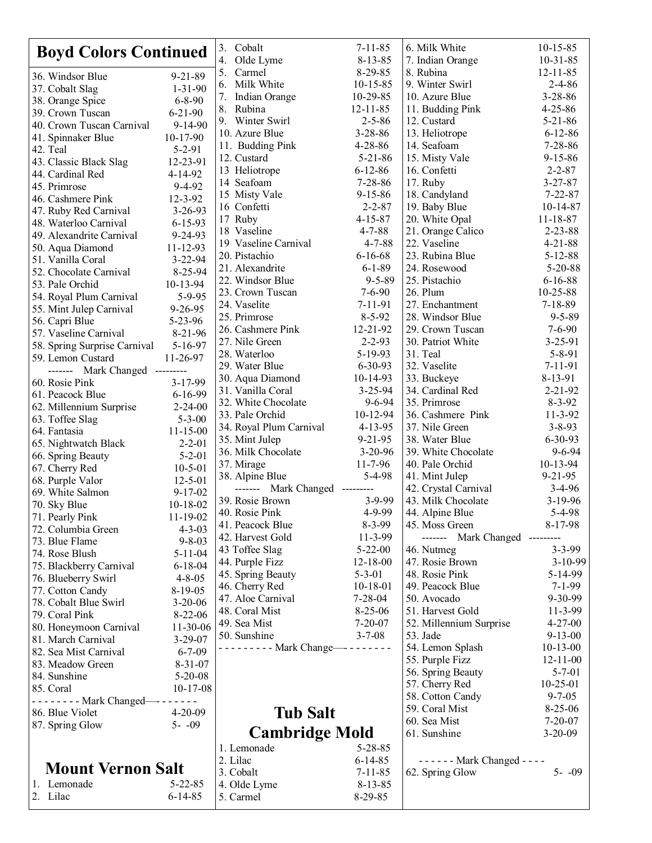| <b>Boyd Colors Continued</b>                   |                                | 3. Cobalt                                      | $7 - 11 - 85$                  | 6. Milk White                      | $10-15-85$                     |
|------------------------------------------------|--------------------------------|------------------------------------------------|--------------------------------|------------------------------------|--------------------------------|
|                                                |                                | 4. Olde Lyme                                   | $8 - 13 - 85$                  | 7. Indian Orange                   | $10 - 31 - 85$                 |
| 36. Windsor Blue                               | $9 - 21 - 89$                  | Carmel<br>$8-29-85$<br>5.                      |                                | 8. Rubina                          | $12 - 11 - 85$                 |
| 37. Cobalt Slag                                | $1 - 31 - 90$                  | 6. Milk White                                  | $10 - 15 - 85$                 | 9. Winter Swirl                    | $2 - 4 - 86$                   |
| 38. Orange Spice                               | $6 - 8 - 90$                   | 7.<br>Indian Orange                            | 10-29-85                       | 10. Azure Blue                     | $3 - 28 - 86$                  |
| 39. Crown Tuscan                               | $6 - 21 - 90$                  | 8. Rubina                                      | $12 - 11 - 85$                 | 11. Budding Pink                   | $4 - 25 - 86$                  |
| 40. Crown Tuscan Carnival                      | $9 - 14 - 90$                  | 9. Winter Swirl                                | $2 - 5 - 86$                   | 12. Custard                        | $5 - 21 - 86$                  |
| 41. Spinnaker Blue                             | $10-17-90$                     | 10. Azure Blue<br>11. Budding Pink             | $3 - 28 - 86$<br>$4 - 28 - 86$ | 13. Heliotrope<br>14. Seafoam      | $6 - 12 - 86$<br>$7 - 28 - 86$ |
| 42. Teal                                       | $5 - 2 - 91$                   | 12. Custard                                    | $5 - 21 - 86$                  | 15. Misty Vale                     | $9 - 15 - 86$                  |
| 43. Classic Black Slag                         | 12-23-91                       | 13 Heliotrope                                  | $6 - 12 - 86$                  | 16. Confetti                       | $2 - 2 - 87$                   |
| 44. Cardinal Red                               | 4-14-92                        | 14 Seafoam                                     | $7 - 28 - 86$                  | 17. Ruby                           | $3 - 27 - 87$                  |
| 45. Primrose                                   | $9 - 4 - 92$                   | 15 Misty Vale                                  | $9 - 15 - 86$                  | 18. Candyland                      | $7 - 22 - 87$                  |
| 46. Cashmere Pink                              | $12 - 3 - 92$                  | 16 Confetti                                    | $2 - 2 - 87$                   | 19. Baby Blue                      | $10-14-87$                     |
| 47. Ruby Red Carnival<br>48. Waterloo Carnival | $3 - 26 - 93$<br>$6 - 15 - 93$ | 17 Ruby                                        | $4 - 15 - 87$                  | 20. White Opal                     | $11 - 18 - 87$                 |
| 49. Alexandrite Carnival                       | 9-24-93                        | 18 Vaseline                                    | $4 - 7 - 88$                   | 21. Orange Calico                  | $2 - 23 - 88$                  |
| 50. Aqua Diamond                               | 11-12-93                       | 19 Vaseline Carnival                           | $4 - 7 - 88$                   | 22. Vaseline                       | $4 - 21 - 88$                  |
| 51. Vanilla Coral                              | $3 - 22 - 94$                  | 20. Pistachio                                  | $6 - 16 - 68$                  | 23. Rubina Blue                    | $5 - 12 - 88$                  |
| 52. Chocolate Carnival                         | 8-25-94                        | 21. Alexandrite                                | $6 - 1 - 89$                   | 24. Rosewood                       | $5 - 20 - 88$                  |
| 53. Pale Orchid                                | $10-13-94$                     | 22. Windsor Blue                               | $9 - 5 - 89$                   | 25. Pistachio                      | $6 - 16 - 88$                  |
| 54. Royal Plum Carnival                        | $5 - 9 - 95$                   | 23. Crown Tuscan                               | $7 - 6 - 90$                   | 26. Plum                           | 10-25-88                       |
| 55. Mint Julep Carnival                        | $9 - 26 - 95$                  | 24. Vaselite                                   | $7 - 11 - 91$                  | 27. Enchantment                    | $7 - 18 - 89$                  |
| 56. Capri Blue                                 | $5 - 23 - 96$                  | 25. Primrose                                   | $8 - 5 - 92$                   | 28. Windsor Blue                   | $9 - 5 - 89$                   |
| 57. Vaseline Carnival                          | $8-21-96$                      | 26. Cashmere Pink                              | 12-21-92                       | 29. Crown Tuscan                   | $7 - 6 - 90$                   |
| 58. Spring Surprise Carnival                   | $5 - 16 - 97$                  | 27. Nile Green                                 | $2 - 2 - 93$                   | 30. Patriot White                  | $3 - 25 - 91$                  |
| 59. Lemon Custard                              | 11-26-97                       | 28. Waterloo                                   | 5-19-93                        | 31. Teal                           | $5 - 8 - 91$                   |
| ------- Mark Changed ---------                 |                                | 29. Water Blue<br>30. Aqua Diamond             | $6 - 30 - 93$<br>10-14-93      | 32. Vaselite<br>33. Buckeye        | 7-11-91<br>8-13-91             |
| 60. Rosie Pink                                 | $3 - 17 - 99$                  | 31. Vanilla Coral                              | $3 - 25 - 94$                  | 34. Cardinal Red                   | $2 - 21 - 92$                  |
| 61. Peacock Blue                               | $6 - 16 - 99$                  | 32. White Chocolate                            | $9 - 6 - 94$                   | 35. Primrose                       | $8 - 3 - 92$                   |
| 62. Millennium Surprise                        | $2 - 24 - 00$                  | 33. Pale Orchid                                | 10-12-94                       | 36. Cashmere Pink                  | $11 - 3 - 92$                  |
| 63. Toffee Slag                                | $5 - 3 - 00$                   | 34. Royal Plum Carnival                        | $4 - 13 - 95$                  | 37. Nile Green                     | $3 - 8 - 93$                   |
| 64. Fantasia                                   | $11 - 15 - 00$<br>$2 - 2 - 01$ | 35. Mint Julep                                 | $9 - 21 - 95$                  | 38. Water Blue                     | $6 - 30 - 93$                  |
| 65. Nightwatch Black<br>66. Spring Beauty      | $5 - 2 - 01$                   | 36. Milk Chocolate                             | $3-20-96$                      | 39. White Chocolate                | $9 - 6 - 94$                   |
| 67. Cherry Red                                 | $10-5-01$                      | 37. Mirage                                     | $11 - 7 - 96$                  | 40. Pale Orchid                    | $10-13-94$                     |
| 68. Purple Valor                               | $12 - 5 - 01$                  | 38. Alpine Blue                                | $5 - 4 - 98$                   | 41. Mint Julep                     | $9 - 21 - 95$                  |
| 69. White Salmon                               | $9 - 17 - 02$                  | ------- Mark Changed ---------                 |                                | 42. Crystal Carnival               | $3-4-96$                       |
| 70. Sky Blue                                   | $10-18-02$                     | 39. Rosie Brown                                | 3-9-99                         | 43. Milk Chocolate                 | $3-19-96$                      |
| 71. Pearly Pink                                | $11-19-02$                     | 40. Rosie Pink                                 | 4-9-99                         | 44. Alpine Blue                    | 5-4-98                         |
| 72. Columbia Green                             | $4 - 3 - 03$                   | 41. Peacock Blue                               | $8 - 3 - 99$                   | 45. Moss Green                     | 8-17-98                        |
| 73. Blue Flame                                 | $9 - 8 - 03$                   | 42. Harvest Gold                               | 11-3-99                        | ------- Mark Changed ---------     |                                |
| 74. Rose Blush                                 | $5 - 11 - 04$                  | 43 Toffee Slag                                 | $5 - 22 - 00$                  | 46. Nutmeg                         | $3 - 3 - 99$                   |
| 75. Blackberry Carnival                        | $6 - 18 - 04$                  | 44. Purple Fizz                                | $12 - 18 - 00$                 | 47. Rosie Brown                    | $3-10-99$                      |
| 76. Blueberry Swirl                            | $4 - 8 - 05$                   | 45. Spring Beauty                              | $5 - 3 - 01$                   | 48. Rosie Pink<br>49. Peacock Blue | 5-14-99                        |
| 77. Cotton Candy                               | $8-19-05$                      | 46. Cherry Red<br>47. Aloe Carnival            | $10-18-01$<br>$7 - 28 - 04$    |                                    | $7 - 1 - 99$<br>9-30-99        |
| 78. Cobalt Blue Swirl                          | $3-20-06$                      | 48. Coral Mist                                 | $8 - 25 - 06$                  | 50. Avocado<br>51. Harvest Gold    | $11 - 3 - 99$                  |
| 79. Coral Pink                                 | $8-22-06$                      | 49. Sea Mist                                   | $7 - 20 - 07$                  | 52. Millennium Surprise            | $4 - 27 - 00$                  |
| 80. Honeymoon Carnival                         | $11-30-06$                     | 50. Sunshine                                   | $3 - 7 - 08$                   | 53. Jade                           | $9 - 13 - 00$                  |
| 81. March Carnival                             | $3 - 29 - 07$                  | - - - - - - - - - Mark Change--- - - - - - - - |                                | 54. Lemon Splash                   | $10-13-00$                     |
| 82. Sea Mist Carnival                          | $6 - 7 - 09$                   |                                                |                                | 55. Purple Fizz                    | $12 - 11 - 00$                 |
| 83. Meadow Green<br>84. Sunshine               | $8 - 31 - 07$<br>$5 - 20 - 08$ |                                                |                                | 56. Spring Beauty                  | $5 - 7 - 01$                   |
| 85. Coral                                      | $10-17-08$                     |                                                |                                | 57. Cherry Red                     | $10-25-01$                     |
| - - - - - - - - Mark Changed--- - - - - - -    |                                |                                                |                                | 58. Cotton Candy                   | $9 - 7 - 05$                   |
| 86. Blue Violet<br>$4 - 20 - 09$               |                                | <b>Tub Salt</b>                                |                                | 59. Coral Mist                     | $8-25-06$                      |
| $5 - -09$<br>87. Spring Glow                   |                                |                                                |                                | 60. Sea Mist                       | $7 - 20 - 07$                  |
|                                                |                                | <b>Cambridge Mold</b>                          |                                | 61. Sunshine                       | $3 - 20 - 09$                  |
|                                                |                                | 1. Lemonade                                    | $5 - 28 - 85$                  |                                    |                                |
|                                                |                                | 2. Lilac                                       | $6 - 14 - 85$                  | - - - - - - Mark Changed - - - -   |                                |
| <b>Mount Vernon Salt</b>                       |                                | 3. Cobalt                                      | $7 - 11 - 85$                  | 62. Spring Glow                    | $5 - -09$                      |
| 1. Lemonade                                    | $5 - 22 - 85$                  | 4. Olde Lyme                                   | $8 - 13 - 85$                  |                                    |                                |
| 2. Lilac                                       | $6 - 14 - 85$                  | 5. Carmel                                      | $8-29-85$                      |                                    |                                |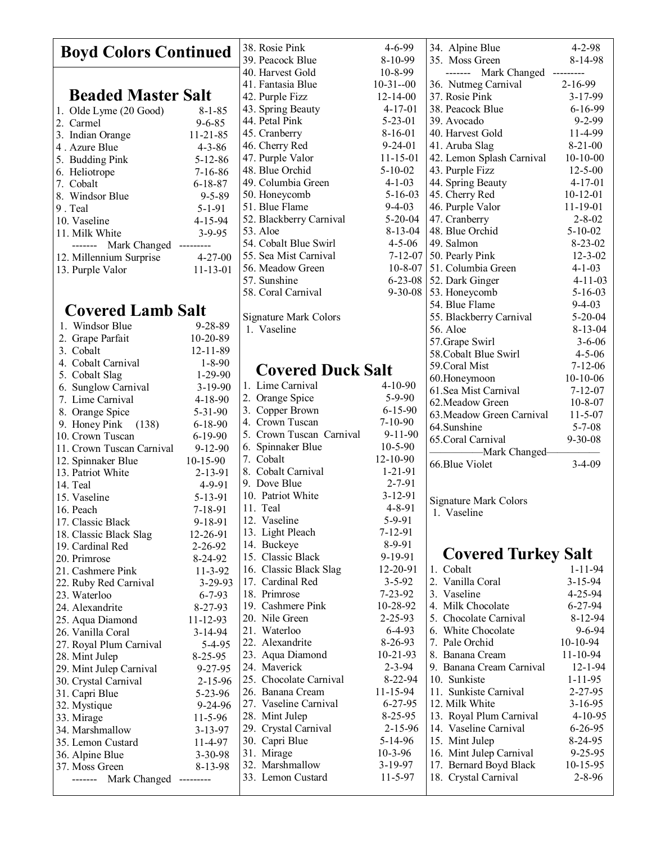| <b>Boyd Colors Continued</b> |                                   | 38. Rosie Pink   | $4 - 6 - 99$                 | 34. Alpine Blue | $4 - 2 - 98$                 |                |
|------------------------------|-----------------------------------|------------------|------------------------------|-----------------|------------------------------|----------------|
|                              |                                   | 39. Peacock Blue | 8-10-99                      | 35. Moss Green  | 8-14-98                      |                |
|                              |                                   |                  | 40. Harvest Gold             | $10 - 8 - 99$   | ------- Mark Changed         | ---------      |
|                              |                                   |                  | 41. Fantasia Blue            | $10-31-00$      | 36. Nutmeg Carnival          | $2 - 16 - 99$  |
|                              | <b>Beaded Master Salt</b>         |                  | 42. Purple Fizz              | $12 - 14 - 00$  | 37. Rosie Pink               | 3-17-99        |
|                              | 1. Olde Lyme (20 Good)            | $8 - 1 - 85$     | 43. Spring Beauty            | $4 - 17 - 01$   | 38. Peacock Blue             | $6 - 16 - 99$  |
|                              |                                   |                  | 44. Petal Pink               | $5 - 23 - 01$   | 39. Avocado                  | $9 - 2 - 99$   |
|                              | 2. Carmel                         | $9 - 6 - 85$     | 45. Cranberry                | $8-16-01$       | 40. Harvest Gold             | 11-4-99        |
|                              | 3. Indian Orange                  | $11 - 21 - 85$   | 46. Cherry Red               | $9 - 24 - 01$   | 41. Aruba Slag               | $8 - 21 - 00$  |
|                              | 4. Azure Blue                     | $4 - 3 - 86$     |                              |                 |                              |                |
|                              | 5. Budding Pink                   | $5 - 12 - 86$    | 47. Purple Valor             | $11 - 15 - 01$  | 42. Lemon Splash Carnival    | $10-10-00$     |
|                              | 6. Heliotrope                     | $7 - 16 - 86$    | 48. Blue Orchid              | $5 - 10 - 02$   | 43. Purple Fizz              | $12 - 5 - 00$  |
|                              | 7. Cobalt                         | $6 - 18 - 87$    | 49. Columbia Green           | $4 - 1 - 03$    | 44. Spring Beauty            | $4 - 17 - 01$  |
|                              | 8. Windsor Blue                   | $9 - 5 - 89$     | 50. Honeycomb                | $5 - 16 - 03$   | 45. Cherry Red               | $10 - 12 - 01$ |
|                              | 9. Teal                           | $5 - 1 - 91$     | 51. Blue Flame               | $9 - 4 - 03$    | 46. Purple Valor             | $11 - 19 - 01$ |
|                              | 10. Vaseline                      | 4-15-94          | 52. Blackberry Carnival      | $5 - 20 - 04$   | 47. Cranberry                | $2 - 8 - 02$   |
|                              | 11. Milk White                    | $3 - 9 - 95$     | 53. Aloe                     | $8 - 13 - 04$   | 48. Blue Orchid              | $5 - 10 - 02$  |
|                              | ------- Mark Changed<br>--------- |                  | 54. Cobalt Blue Swirl        | $4 - 5 - 06$    | 49. Salmon                   | $8 - 23 - 02$  |
|                              | 12. Millennium Surprise           | $4 - 27 - 00$    | 55. Sea Mist Carnival        | $7 - 12 - 07$   | 50. Pearly Pink              | $12 - 3 - 02$  |
|                              | 13. Purple Valor                  | $11 - 13 - 01$   | 56. Meadow Green             | $10 - 8 - 07$   | 51. Columbia Green           | $4 - 1 - 03$   |
|                              |                                   |                  | 57. Sunshine                 | $6 - 23 - 08$   | 52. Dark Ginger              | $4 - 11 - 03$  |
|                              |                                   |                  | 58. Coral Carnival           | $9 - 30 - 08$   | 53. Honeycomb                | $5 - 16 - 03$  |
|                              |                                   |                  |                              |                 | 54. Blue Flame               | $9 - 4 - 03$   |
|                              | <b>Covered Lamb Salt</b>          |                  | <b>Signature Mark Colors</b> |                 | 55. Blackberry Carnival      | $5 - 20 - 04$  |
|                              | 1. Windsor Blue                   | $9 - 28 - 89$    | 1. Vaseline                  |                 | 56. Aloe                     | $8 - 13 - 04$  |
|                              | 2. Grape Parfait                  | 10-20-89         |                              |                 | 57. Grape Swirl              | $3 - 6 - 06$   |
|                              | 3. Cobalt                         | 12-11-89         |                              |                 | 58. Cobalt Blue Swirl        | $4 - 5 - 06$   |
|                              | 4. Cobalt Carnival                | $1 - 8 - 90$     |                              |                 | 59.Coral Mist                | $7 - 12 - 06$  |
|                              | 5. Cobalt Slag                    | $1-29-90$        | <b>Covered Duck Salt</b>     |                 |                              |                |
|                              | 6. Sunglow Carnival               | $3 - 19 - 90$    | 1. Lime Carnival             | $4-10-90$       | 60.Honeymoon                 | $10-10-06$     |
|                              | 7. Lime Carnival                  | $4 - 18 - 90$    | 2. Orange Spice              | $5 - 9 - 90$    | 61. Sea Mist Carnival        | $7 - 12 - 07$  |
|                              | 8. Orange Spice                   | $5 - 31 - 90$    | 3. Copper Brown              | $6 - 15 - 90$   | 62. Meadow Green             | $10 - 8 - 07$  |
|                              | 9. Honey Pink (138)               | $6 - 18 - 90$    | 4. Crown Tuscan              | $7-10-90$       | 63. Meadow Green Carnival    | $11 - 5 - 07$  |
|                              | 10. Crown Tuscan                  | $6 - 19 - 90$    | 5. Crown Tuscan Carnival     | $9 - 11 - 90$   | 64.Sunshine                  | $5 - 7 - 08$   |
|                              | 11. Crown Tuscan Carnival         | $9-12-90$        | 6. Spinnaker Blue            | $10 - 5 - 90$   | 65. Coral Carnival           | $9 - 30 - 08$  |
|                              |                                   |                  | 7. Cobalt                    | $12 - 10 - 90$  | -Mark Changed-               |                |
|                              | 12. Spinnaker Blue                | $10-15-90$       | 8. Cobalt Carnival           | $1 - 21 - 91$   | 66.Blue Violet               | $3-4-09$       |
|                              | 13. Patriot White                 | 2-13-91          | 9. Dove Blue                 | $2 - 7 - 91$    |                              |                |
|                              | 14. Teal                          | 4-9-91           |                              |                 |                              |                |
|                              | 15. Vaseline                      | 5-13-91          | 10. Patriot White            | $3 - 12 - 91$   | <b>Signature Mark Colors</b> |                |
|                              | 16. Peach                         | $7 - 18 - 91$    | 11. Teal                     | $4 - 8 - 91$    | 1. Vaseline                  |                |
|                              | 17. Classic Black                 | 9-18-91          | 12. Vaseline                 | 5-9-91          |                              |                |
|                              | 18. Classic Black Slag            | 12-26-91         | 13. Light Pleach             | $7 - 12 - 91$   |                              |                |
|                              | 19. Cardinal Red                  | 2-26-92          | 14. Buckeye                  | 8-9-91          |                              |                |
|                              | 20. Primrose                      | 8-24-92          | 15. Classic Black            | 9-19-91         | <b>Covered Turkey Salt</b>   |                |
|                              | 21. Cashmere Pink                 | $11-3-92$        | 16. Classic Black Slag       | 12-20-91        | 1. Cobalt                    | $1 - 11 - 94$  |
|                              | 22. Ruby Red Carnival             | $3 - 29 - 93$    | 17. Cardinal Red             | $3 - 5 - 92$    | 2. Vanilla Coral             | $3 - 15 - 94$  |
|                              | 23. Waterloo                      | $6 - 7 - 93$     | 18. Primrose                 | $7 - 23 - 92$   | 3. Vaseline                  | 4-25-94        |
|                              | 24. Alexandrite                   | $8 - 27 - 93$    | 19. Cashmere Pink            | 10-28-92        | 4. Milk Chocolate            | $6 - 27 - 94$  |
|                              | 25. Aqua Diamond                  | $11 - 12 - 93$   | 20. Nile Green               | $2 - 25 - 93$   | 5. Chocolate Carnival        | 8-12-94        |
|                              | 26. Vanilla Coral                 | 3-14-94          | 21. Waterloo                 | $6 - 4 - 93$    | 6. White Chocolate           | $9 - 6 - 94$   |
|                              | 27. Royal Plum Carnival           | $5-4-95$         | 22. Alexandrite              | 8-26-93         | 7. Pale Orchid               | 10-10-94       |
|                              | 28. Mint Julep                    | $8 - 25 - 95$    | 23. Aqua Diamond             | $10 - 21 - 93$  | 8. Banana Cream              | $11 - 10 - 94$ |
|                              | 29. Mint Julep Carnival           | $9 - 27 - 95$    | 24. Maverick                 | $2 - 3 - 94$    | 9. Banana Cream Carnival     | $12 - 1 - 94$  |
|                              | 30. Crystal Carnival              | 2-15-96          | 25. Chocolate Carnival       | 8-22-94         | 10. Sunkiste                 | $1 - 11 - 95$  |
|                              | 31. Capri Blue                    | 5-23-96          | 26. Banana Cream             | $11 - 15 - 94$  | 11. Sunkiste Carnival        | $2 - 27 - 95$  |
|                              |                                   | $9 - 24 - 96$    | 27. Vaseline Carnival        | $6 - 27 - 95$   | 12. Milk White               | $3-16-95$      |
|                              | 32. Mystique                      |                  | 28. Mint Julep               | $8-25-95$       | 13. Royal Plum Carnival      | $4-10-95$      |
|                              | 33. Mirage                        | $11-5-96$        | 29. Crystal Carnival         | $2 - 15 - 96$   | 14. Vaseline Carnival        | $6 - 26 - 95$  |
|                              | 34. Marshmallow                   | $3 - 13 - 97$    | 30. Capri Blue               | 5-14-96         | 15. Mint Julep               | $8-24-95$      |
|                              | 35. Lemon Custard                 | 11-4-97          |                              |                 |                              |                |
|                              | 36. Alpine Blue                   | 3-30-98          | 31. Mirage                   | $10 - 3 - 96$   | 16. Mint Julep Carnival      | $9 - 25 - 95$  |
|                              | 37. Moss Green                    | 8-13-98          | 32. Marshmallow              | $3-19-97$       | 17. Bernard Boyd Black       | $10-15-95$     |
|                              | ------- Mark Changed ---------    |                  | 33. Lemon Custard            | $11 - 5 - 97$   | 18. Crystal Carnival         | $2 - 8 - 96$   |